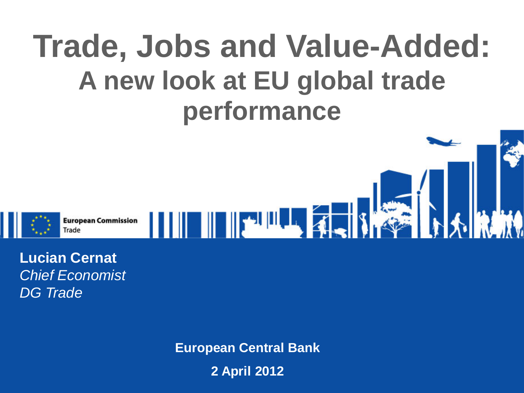## **Trade, Jobs and Value-Added: A new look at EU global trade performance**



**Lucian Cernat** *Chief Economist DG Trade*

**European Central Bank**

**2 April 2012**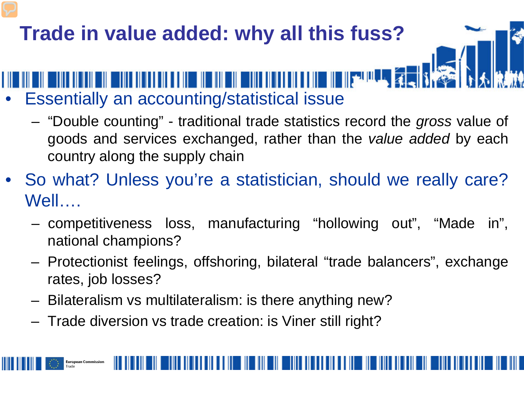## **Trade in value added: why all this fuss?** NIN DIN BUNIN IN NIN NIN NI NI NIN NIN DIN BUNIN NIN NIN NIN NIN NIN NI NI SERIA PASSA • Essentially an accounting/statistical issue

- "Double counting" traditional trade statistics record the *gross* value of goods and services exchanged, rather than the *value added* by each country along the supply chain
- So what? Unless you're a statistician, should we really care? Well….
	- competitiveness loss, manufacturing "hollowing out", "Made in", national champions?
	- Protectionist feelings, offshoring, bilateral "trade balancers", exchange rates, job losses?
	- Bilateralism vs multilateralism: is there anything new?
	- Trade diversion vs trade creation: is Viner still right?

**European Commission**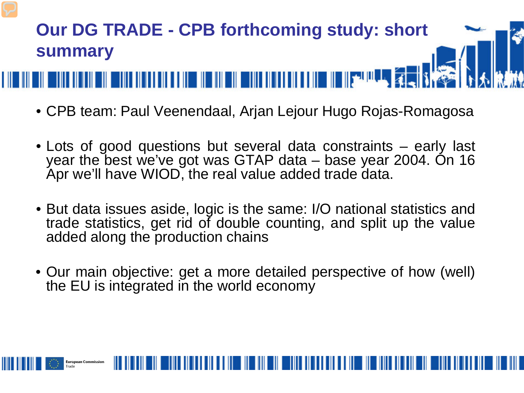

- CPB team: Paul Veenendaal, Arjan Lejour Hugo Rojas-Romagosa
- Lots of good questions but several data constraints early last year the best we've got was GTAP data – base year 2004. On 16 Apr we'll have WIOD, the real value added trade data.
- But data issues aside, logic is the same: I/O national statistics and trade statistics, get rid of double counting, and split up the value added along the production chains
- Our main objective: get a more detailed perspective of how (well) the EU is integrated in the world economy

**Euronean Commission**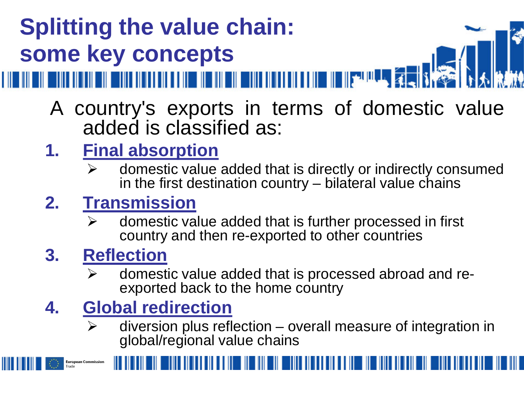## **Splitting the value chain: some key concepts**

- 
- A country's exports in terms of domestic value added is classified as:
- **1. Final absorption**
	- $\triangleright$  domestic value added that is directly or indirectly consumed in the first destination country  $-$  bilateral value chains

#### **2. Transmission**

 $\triangleright$  domestic value added that is further processed in first country and then re-exported to other countries

#### **3. Reflection**

**European Commission** 

 $\triangleright$  domestic value added that is processed abroad and re-<br>exported back to the home country

#### **4. Global redirection**

 $\triangleright$  diversion plus reflection – overall measure of integration in global/regional value chains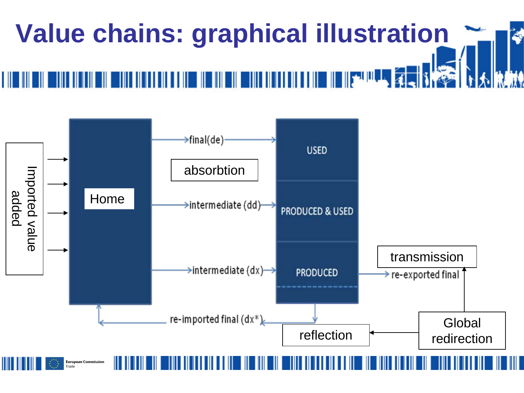

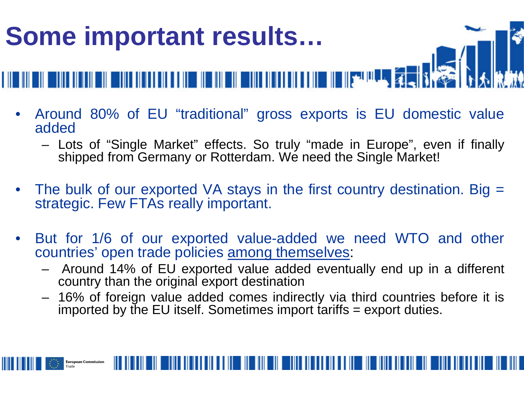

- Around 80% of EU "traditional" gross exports is EU domestic value added
	- Lots of "Single Market" effects. So truly "made in Europe", even if finally shipped from Germany or Rotterdam. We need the Single Market!
- The bulk of our exported VA stays in the first country destination. Big = strategic. Few FTAs really important.
- But for 1/6 of our exported value-added we need WTO and other countries' open trade policies among themselves:
	- Around 14% of EU exported value added eventually end up in a different country than the original export destination
	- 16% of foreign value added comes indirectly via third countries before it is imported by the EU itself. Sometimes import tariffs = export duties.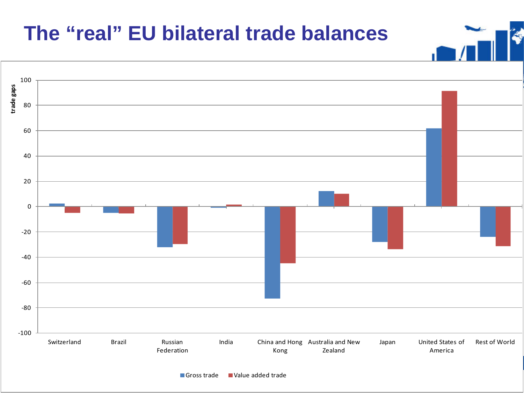#### **The "real" EU bilateral trade balances**



٩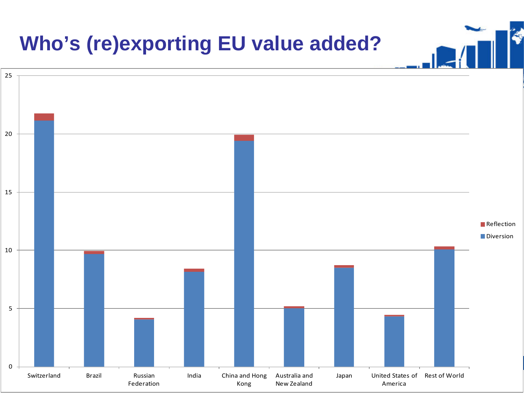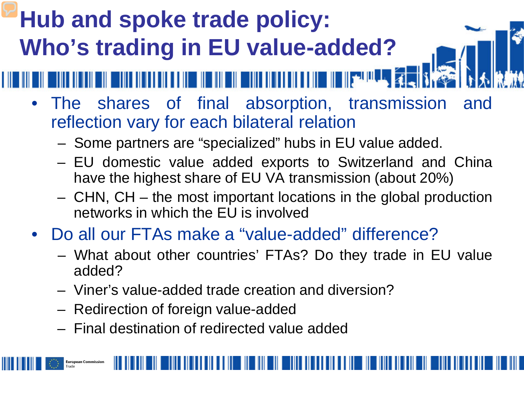### **Hub and spoke trade policy: Who's trading in EU value-added?**

- The shares of final absorption, transmission and reflection vary for each bilateral relation
	- Some partners are "specialized" hubs in EU value added.

- EU domestic value added exports to Switzerland and China have the highest share of EU VA transmission (about 20%)
- CHN, CH the most important locations in the global production networks in which the EU is involved
- Do all our FTAs make a "value-added" difference?
	- What about other countries' FTAs? Do they trade in EU value added?
	- Viner's value-added trade creation and diversion?
	- Redirection of foreign value-added

**European Commission** 

– Final destination of redirected value added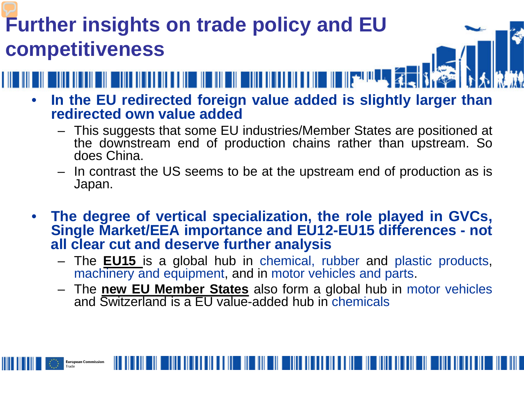#### **Further insights on trade policy and EU competitiveness**

**European Commission** 



- **In the EU redirected foreign value added is slightly larger than redirected own value added**
	- This suggests that some EU industries/Member States are positioned at the downstream end of production chains rather than upstream. So does China.
	- In contrast the US seems to be at the upstream end of production as is Japan.
- **The degree of vertical specialization, the role played in GVCs, Single Market/EEA importance and EU12-EU15 differences - not all clear cut and deserve further analysis**
	- The **EU15** is a global hub in chemical, rubber and plastic products, machinery and equipment, and in motor vehicles and parts.
	- The **new EU Member States** also form a global hub in motor vehicles and Switzerland is a EU value-added hub in chemicals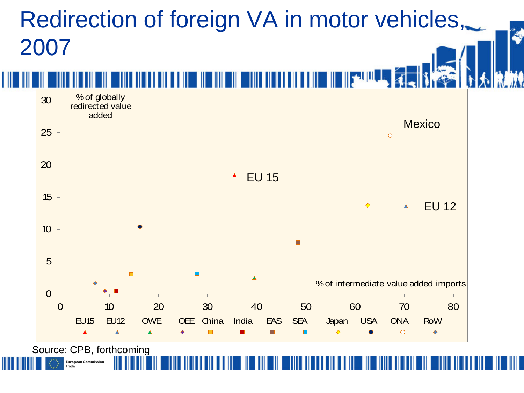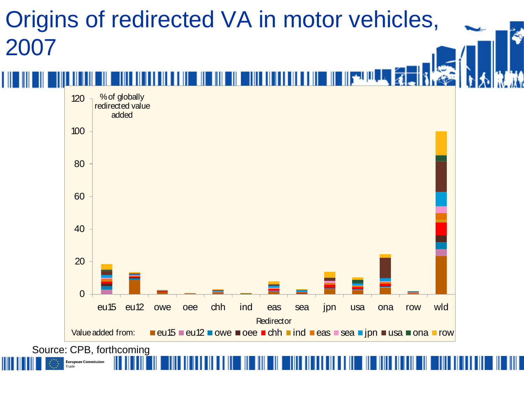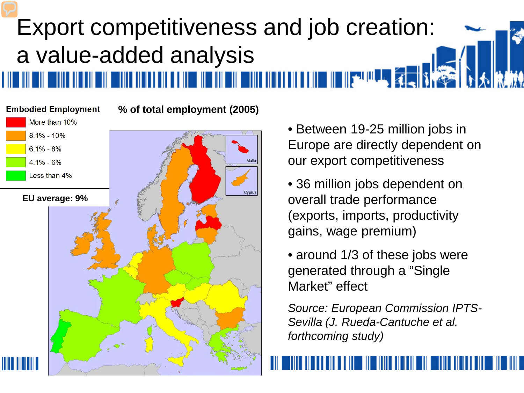# Export competitiveness and job creation: a value-added analysis

**Embodied Employment % of total employment (2005)** More than 10%  $8.1\% - 10\%$  $6.1\% - 8\%$  $4.1\% - 6\%$ Less than 4% Cyprus **EU average: 9%**

• Between 19-25 million jobs in Europe are directly dependent on our export competitiveness

• 36 million jobs dependent on overall trade performance (exports, imports, productivity gains, wage premium)

• around 1/3 of these jobs were generated through a "Single Market" effect

*Source: European Commission IPTS-Sevilla (J. Rueda-Cantuche et al. forthcoming study)*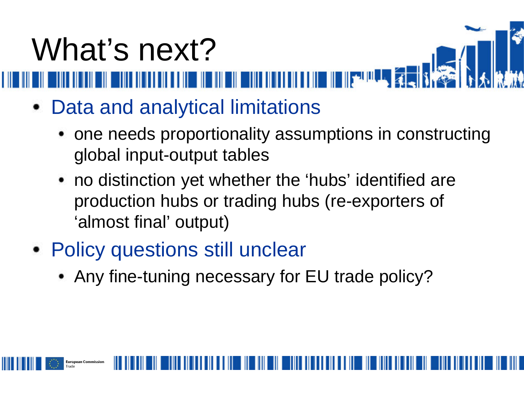# What's next?<br>William William Construction

- Data and analytical limitations
	- one needs proportionality assumptions in constructing global input-output tables
	- no distinction yet whether the 'hubs' identified are production hubs or trading hubs (re-exporters of 'almost final' output)
- Policy questions still unclear
	- Any fine-tuning necessary for EU trade policy?